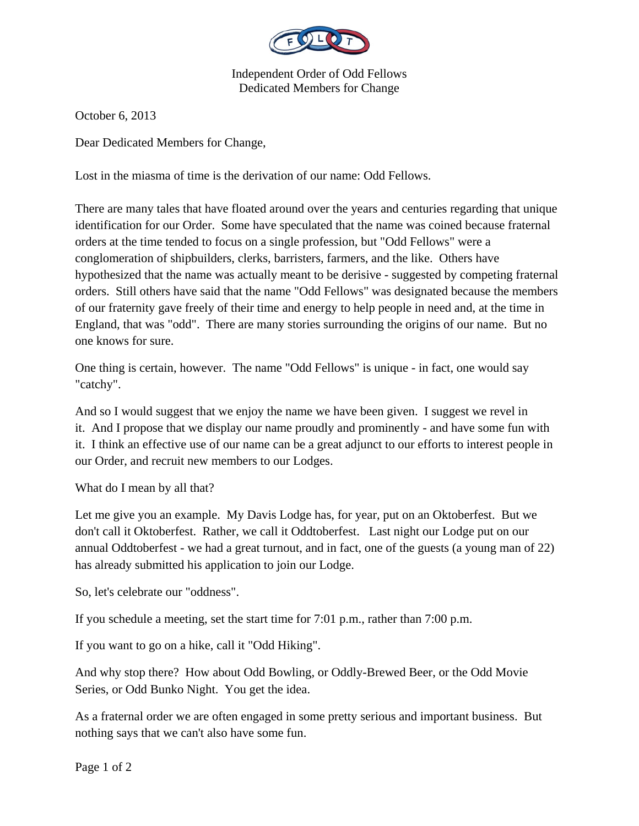

Independent Order of Odd Fellows Dedicated Members for Change

October 6, 2013

Dear Dedicated Members for Change,

Lost in the miasma of time is the derivation of our name: Odd Fellows.

There are many tales that have floated around over the years and centuries regarding that unique identification for our Order. Some have speculated that the name was coined because fraternal orders at the time tended to focus on a single profession, but "Odd Fellows" were a conglomeration of shipbuilders, clerks, barristers, farmers, and the like. Others have hypothesized that the name was actually meant to be derisive - suggested by competing fraternal orders. Still others have said that the name "Odd Fellows" was designated because the members of our fraternity gave freely of their time and energy to help people in need and, at the time in England, that was "odd". There are many stories surrounding the origins of our name. But no one knows for sure.

One thing is certain, however. The name "Odd Fellows" is unique - in fact, one would say "catchy".

And so I would suggest that we enjoy the name we have been given. I suggest we revel in it. And I propose that we display our name proudly and prominently - and have some fun with it. I think an effective use of our name can be a great adjunct to our efforts to interest people in our Order, and recruit new members to our Lodges.

What do I mean by all that?

Let me give you an example. My Davis Lodge has, for year, put on an Oktoberfest. But we don't call it Oktoberfest. Rather, we call it Oddtoberfest. Last night our Lodge put on our annual Oddtoberfest - we had a great turnout, and in fact, one of the guests (a young man of 22) has already submitted his application to join our Lodge.

So, let's celebrate our "oddness".

If you schedule a meeting, set the start time for 7:01 p.m., rather than 7:00 p.m.

If you want to go on a hike, call it "Odd Hiking".

And why stop there? How about Odd Bowling, or Oddly-Brewed Beer, or the Odd Movie Series, or Odd Bunko Night. You get the idea.

As a fraternal order we are often engaged in some pretty serious and important business. But nothing says that we can't also have some fun.